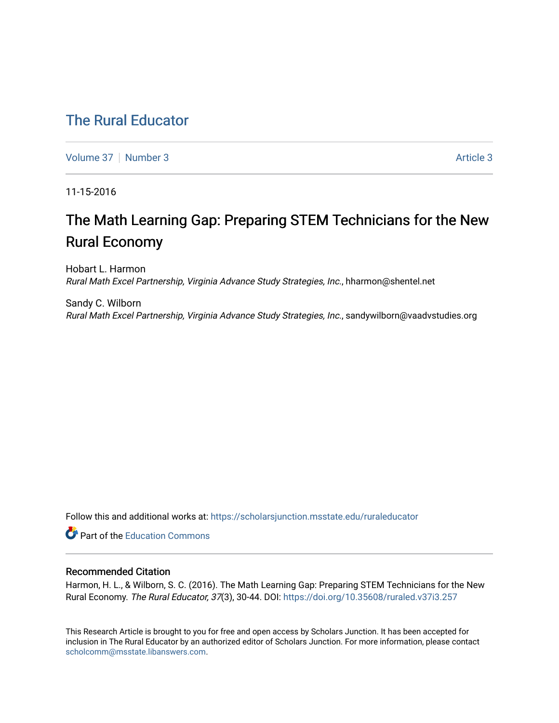## [The Rural Educator](https://scholarsjunction.msstate.edu/ruraleducator)

[Volume 37](https://scholarsjunction.msstate.edu/ruraleducator/vol37) | [Number 3](https://scholarsjunction.msstate.edu/ruraleducator/vol37/iss3) Article 3

11-15-2016

# The Math Learning Gap: Preparing STEM Technicians for the New Rural Economy

Hobart L. Harmon Rural Math Excel Partnership, Virginia Advance Study Strategies, Inc., hharmon@shentel.net

Sandy C. Wilborn Rural Math Excel Partnership, Virginia Advance Study Strategies, Inc., sandywilborn@vaadvstudies.org

Follow this and additional works at: [https://scholarsjunction.msstate.edu/ruraleducator](https://scholarsjunction.msstate.edu/ruraleducator?utm_source=scholarsjunction.msstate.edu%2Fruraleducator%2Fvol37%2Fiss3%2F3&utm_medium=PDF&utm_campaign=PDFCoverPages)

**C** Part of the [Education Commons](http://network.bepress.com/hgg/discipline/784?utm_source=scholarsjunction.msstate.edu%2Fruraleducator%2Fvol37%2Fiss3%2F3&utm_medium=PDF&utm_campaign=PDFCoverPages)

### Recommended Citation

Harmon, H. L., & Wilborn, S. C. (2016). The Math Learning Gap: Preparing STEM Technicians for the New Rural Economy. The Rural Educator, 37(3), 30-44. DOI: <https://doi.org/10.35608/ruraled.v37i3.257>

This Research Article is brought to you for free and open access by Scholars Junction. It has been accepted for inclusion in The Rural Educator by an authorized editor of Scholars Junction. For more information, please contact [scholcomm@msstate.libanswers.com.](mailto:scholcomm@msstate.libanswers.com)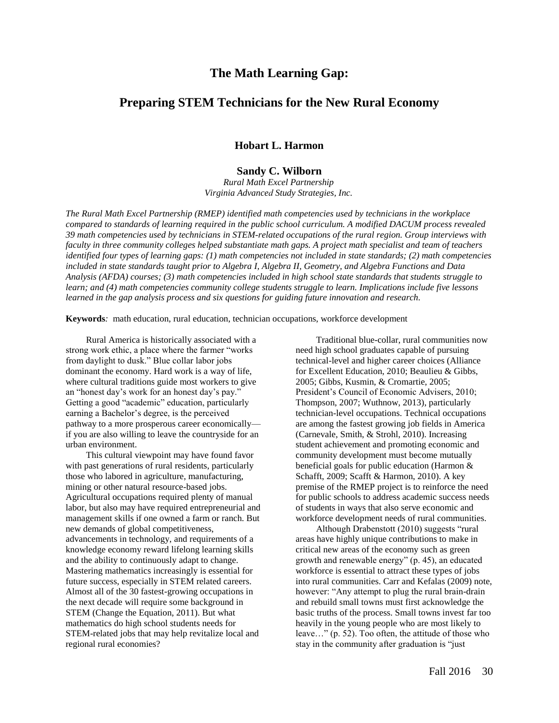## **The Math Learning Gap:**

## **Preparing STEM Technicians for the New Rural Economy**

#### **Hobart L. Harmon**

## **Sandy C. Wilborn**

*Rural Math Excel Partnership Virginia Advanced Study Strategies, Inc.*

*The Rural Math Excel Partnership (RMEP) identified math competencies used by technicians in the workplace compared to standards of learning required in the public school curriculum. A modified DACUM process revealed 39 math competencies used by technicians in STEM-related occupations of the rural region. Group interviews with faculty in three community colleges helped substantiate math gaps. A project math specialist and team of teachers identified four types of learning gaps: (1) math competencies not included in state standards; (2) math competencies included in state standards taught prior to Algebra I, Algebra II, Geometry, and Algebra Functions and Data Analysis (AFDA) courses; (3) math competencies included in high school state standards that students struggle to learn; and (4) math competencies community college students struggle to learn. Implications include five lessons learned in the gap analysis process and six questions for guiding future innovation and research.* 

**Keywords***:* math education, rural education, technician occupations, workforce development

Rural America is historically associated with a strong work ethic, a place where the farmer "works from daylight to dusk." Blue collar labor jobs dominant the economy. Hard work is a way of life, where cultural traditions guide most workers to give an "honest day's work for an honest day's pay." Getting a good "academic" education, particularly earning a Bachelor's degree, is the perceived pathway to a more prosperous career economically if you are also willing to leave the countryside for an urban environment.

This cultural viewpoint may have found favor with past generations of rural residents, particularly those who labored in agriculture, manufacturing, mining or other natural resource-based jobs. Agricultural occupations required plenty of manual labor, but also may have required entrepreneurial and management skills if one owned a farm or ranch. But new demands of global competitiveness, advancements in technology, and requirements of a knowledge economy reward lifelong learning skills and the ability to continuously adapt to change. Mastering mathematics increasingly is essential for future success, especially in STEM related careers. Almost all of the 30 fastest-growing occupations in the next decade will require some background in STEM (Change the Equation, 2011). But what mathematics do high school students needs for STEM-related jobs that may help revitalize local and regional rural economies?

Traditional blue-collar, rural communities now need high school graduates capable of pursuing technical-level and higher career choices (Alliance for Excellent Education, 2010; Beaulieu & Gibbs, 2005; Gibbs, Kusmin, & Cromartie, 2005; President's Council of Economic Advisers, 2010; Thompson, 2007; Wuthnow, 2013), particularly technician-level occupations. Technical occupations are among the fastest growing job fields in America (Carnevale, Smith, & Strohl, 2010). Increasing student achievement and promoting economic and community development must become mutually beneficial goals for public education (Harmon & Schafft, 2009; Scafft & Harmon, 2010). A key premise of the RMEP project is to reinforce the need for public schools to address academic success needs of students in ways that also serve economic and workforce development needs of rural communities.

Although Drabenstott (2010) suggests "rural areas have highly unique contributions to make in critical new areas of the economy such as green growth and renewable energy" (p. 45), an educated workforce is essential to attract these types of jobs into rural communities. Carr and Kefalas (2009) note, however: "Any attempt to plug the rural brain-drain and rebuild small towns must first acknowledge the basic truths of the process. Small towns invest far too heavily in the young people who are most likely to leave…" (p. 52). Too often, the attitude of those who stay in the community after graduation is "just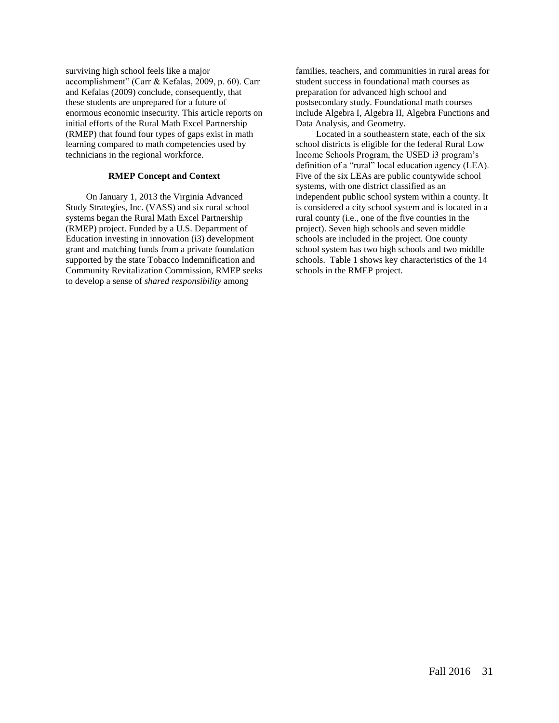surviving high school feels like a major accomplishment" (Carr & Kefalas, 2009, p. 60). Carr and Kefalas (2009) conclude, consequently, that these students are unprepared for a future of enormous economic insecurity. This article reports on initial efforts of the Rural Math Excel Partnership (RMEP) that found four types of gaps exist in math learning compared to math competencies used by technicians in the regional workforce.

#### **RMEP Concept and Context**

On January 1, 2013 the Virginia Advanced Study Strategies, Inc. (VASS) and six rural school systems began the Rural Math Excel Partnership (RMEP) project. Funded by a U.S. Department of Education investing in innovation (i3) development grant and matching funds from a private foundation supported by the state Tobacco Indemnification and Community Revitalization Commission, RMEP seeks to develop a sense of *shared responsibility* among

families, teachers, and communities in rural areas for student success in foundational math courses as preparation for advanced high school and postsecondary study. Foundational math courses include Algebra I, Algebra II, Algebra Functions and Data Analysis, and Geometry.

Located in a southeastern state, each of the six school districts is eligible for the federal Rural Low Income Schools Program, the USED i3 program's definition of a "rural" local education agency (LEA). Five of the six LEAs are public countywide school systems, with one district classified as an independent public school system within a county. It is considered a city school system and is located in a rural county (i.e., one of the five counties in the project). Seven high schools and seven middle schools are included in the project. One county school system has two high schools and two middle schools. Table 1 shows key characteristics of the 14 schools in the RMEP project.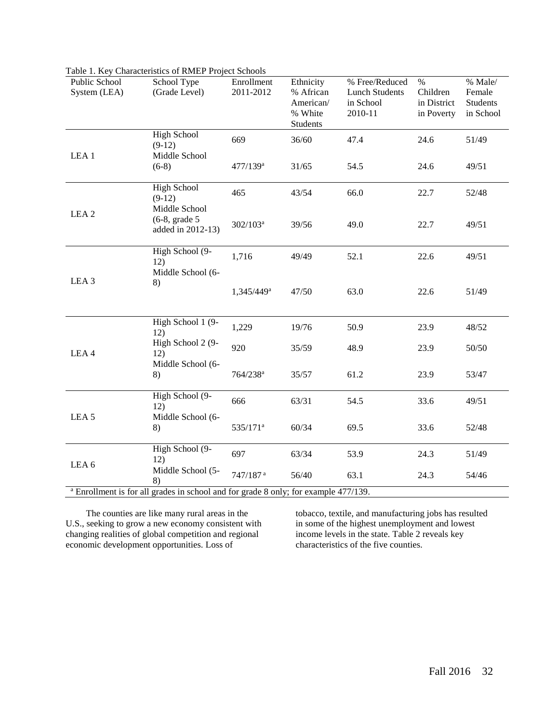| Public School<br>System (LEA) | School Type<br>(Grade Level)                                                                                              | Enrollment<br>2011-2012 | Ethnicity<br>% African<br>American/<br>% White<br>Students | % Free/Reduced<br><b>Lunch Students</b><br>in School<br>2010-11 | $\%$<br>Children<br>in District<br>in Poverty | % Male/<br>Female<br>Students<br>in School |
|-------------------------------|---------------------------------------------------------------------------------------------------------------------------|-------------------------|------------------------------------------------------------|-----------------------------------------------------------------|-----------------------------------------------|--------------------------------------------|
|                               | <b>High School</b><br>$(9-12)$                                                                                            | 669                     | 36/60                                                      | 47.4                                                            | 24.6                                          | 51/49                                      |
| LEA <sub>1</sub>              | Middle School<br>$(6-8)$                                                                                                  | $477/139$ <sup>a</sup>  | 31/65                                                      | 54.5                                                            | 24.6                                          | 49/51                                      |
|                               | <b>High School</b><br>$(9-12)$                                                                                            | 465                     | 43/54                                                      | 66.0                                                            | 22.7                                          | 52/48                                      |
| LEA <sub>2</sub>              | Middle School<br>$(6-8, grade 5)$<br>added in 2012-13)                                                                    | $302/103^a$             | 39/56                                                      | 49.0                                                            | 22.7                                          | 49/51                                      |
|                               | High School $\overline{(9-$<br>12)                                                                                        | 1,716                   | 49/49                                                      | 52.1                                                            | 22.6                                          | 49/51                                      |
| LEA <sub>3</sub>              | Middle School (6-<br>8)                                                                                                   | 1,345/449 <sup>a</sup>  | 47/50                                                      | 63.0                                                            | 22.6                                          | 51/49                                      |
|                               | High School 1 (9-<br>12)                                                                                                  | 1,229                   | 19/76                                                      | 50.9                                                            | 23.9                                          | 48/52                                      |
| LEA4                          | High School 2 (9-<br>12)                                                                                                  | 920                     | 35/59                                                      | 48.9                                                            | 23.9                                          | 50/50                                      |
|                               | Middle School (6-<br>8)                                                                                                   | 764/238 <sup>a</sup>    | 35/57                                                      | 61.2                                                            | 23.9                                          | 53/47                                      |
| LEA <sub>5</sub>              | High School (9-<br>12)                                                                                                    | 666                     | 63/31                                                      | 54.5                                                            | 33.6                                          | 49/51                                      |
|                               | Middle School (6-<br>8)                                                                                                   | 535/171 <sup>a</sup>    | 60/34                                                      | 69.5                                                            | 33.6                                          | 52/48                                      |
| LEA <sub>6</sub>              | High School (9-<br>12)                                                                                                    | 697                     | 63/34                                                      | 53.9                                                            | 24.3                                          | 51/49                                      |
|                               | Middle School (5-<br>8)<br><sup>a</sup> Enrollment is for all grades in school and for grade 8 only; for example 477/139. | 747/187 <sup>a</sup>    | 56/40                                                      | 63.1                                                            | 24.3                                          | 54/46                                      |

Table 1. Key Characteristics of RMEP Project Schools

The counties are like many rural areas in the U.S., seeking to grow a new economy consistent with changing realities of global competition and regional economic development opportunities. Loss of

tobacco, textile, and manufacturing jobs has resulted in some of the highest unemployment and lowest income levels in the state. Table 2 reveals key characteristics of the five counties.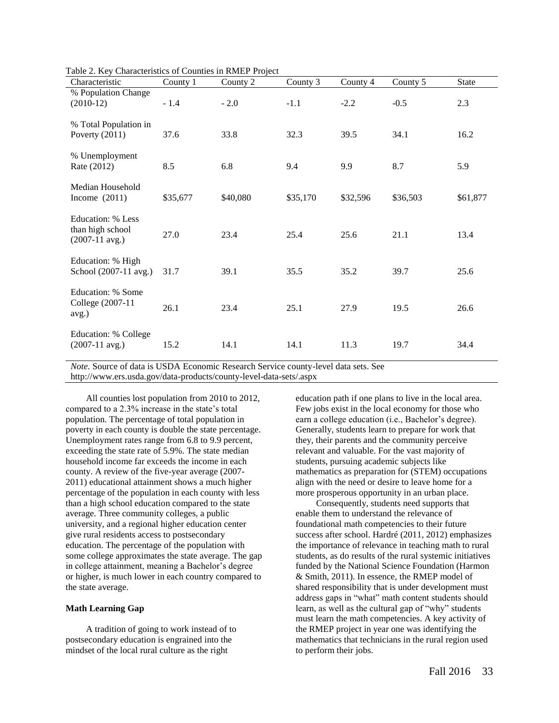| Characteristic                                            | County 1 | County 2 | County 3 | County 4 | County 5 | <b>State</b> |
|-----------------------------------------------------------|----------|----------|----------|----------|----------|--------------|
| % Population Change<br>$(2010-12)$                        | $-1.4$   | $-2.0$   | $-1.1$   | $-2.2$   | $-0.5$   | 2.3          |
| % Total Population in<br>Poverty $(2011)$                 | 37.6     | 33.8     | 32.3     | 39.5     | 34.1     | 16.2         |
| % Unemployment<br>Rate (2012)                             | 8.5      | 6.8      | 9.4      | 9.9      | 8.7      | 5.9          |
| Median Household<br>Income $(2011)$                       | \$35,677 | \$40,080 | \$35,170 | \$32,596 | \$36,503 | \$61,877     |
| Education: % Less<br>than high school<br>$(2007-11$ avg.) | 27.0     | 23.4     | 25.4     | 25.6     | 21.1     | 13.4         |
| Education: % High<br>School (2007-11 avg.)                | 31.7     | 39.1     | 35.5     | 35.2     | 39.7     | 25.6         |
| Education: % Some<br>College (2007-11<br>avg.)            | 26.1     | 23.4     | 25.1     | 27.9     | 19.5     | 26.6         |
| Education: % College<br>$(2007-11$ avg.)                  | 15.2     | 14.1     | 14.1     | 11.3     | 19.7     | 34.4         |

Table 2. Key Characteristics of Counties in RMEP Project

*Note.* Source of data is USDA Economic Research Service county-level data sets. See http://www.ers.usda.gov/data-products/county-level-data-sets/.aspx

All counties lost population from 2010 to 2012, compared to a 2.3% increase in the state's total population. The percentage of total population in poverty in each county is double the state percentage. Unemployment rates range from 6.8 to 9.9 percent, exceeding the state rate of 5.9%. The state median household income far exceeds the income in each county. A review of the five-year average (2007- 2011) educational attainment shows a much higher percentage of the population in each county with less than a high school education compared to the state average. Three community colleges, a public university, and a regional higher education center give rural residents access to postsecondary education. The percentage of the population with some college approximates the state average. The gap in college attainment, meaning a Bachelor's degree or higher, is much lower in each country compared to the state average.

#### **Math Learning Gap**

A tradition of going to work instead of to postsecondary education is engrained into the mindset of the local rural culture as the right

education path if one plans to live in the local area. Few jobs exist in the local economy for those who earn a college education (i.e., Bachelor's degree). Generally, students learn to prepare for work that they, their parents and the community perceive relevant and valuable. For the vast majority of students, pursuing academic subjects like mathematics as preparation for (STEM) occupations align with the need or desire to leave home for a more prosperous opportunity in an urban place.

Consequently, students need supports that enable them to understand the relevance of foundational math competencies to their future success after school. Hardré (2011, 2012) emphasizes the importance of relevance in teaching math to rural students, as do results of the rural systemic initiatives funded by the National Science Foundation (Harmon & Smith, 2011). In essence, the RMEP model of shared responsibility that is under development must address gaps in "what" math content students should learn, as well as the cultural gap of "why" students must learn the math competencies. A key activity of the RMEP project in year one was identifying the mathematics that technicians in the rural region used to perform their jobs.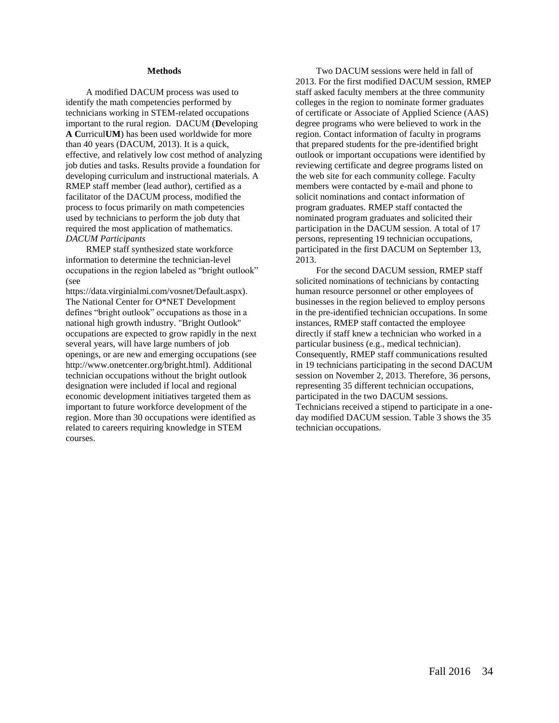#### **Methods**

A modified DACUM process was used to identify the math competencies performed by technicians working in STEM-related occupations important to the rural region. DACUM (**D**eveloping **A C**urricul**UM**) has been used worldwide for more than 40 years (DACUM, 2013). It is a quick, effective, and relatively low cost method of analyzing job duties and tasks. Results provide a foundation for developing curriculum and instructional materials. A RMEP staff member (lead author), certified as a facilitator of the DACUM process, modified the process to focus primarily on math competencies used by technicians to perform the job duty that required the most application of mathematics. *DACUM Participants*

RMEP staff synthesized state workforce information to determine the technician-level occupations in the region labeled as "bright outlook" (see

https://data.virginialmi.com/vosnet/Default.aspx). The National Center for O\*NET Development defines "bright outlook" occupations as those in a national high growth industry. "Bright Outlook" occupations are expected to grow rapidly in the next several years, will have large numbers of job openings, or are new and emerging occupations (see http://www.onetcenter.org/bright.html). Additional technician occupations without the bright outlook designation were included if local and regional economic development initiatives targeted them as important to future workforce development of the region. More than 30 occupations were identified as related to careers requiring knowledge in STEM courses.

Two DACUM sessions were held in fall of 2013. For the first modified DACUM session, RMEP staff asked faculty members at the three community colleges in the region to nominate former graduates of certificate or Associate of Applied Science (AAS) degree programs who were believed to work in the region. Contact information of faculty in programs that prepared students for the pre-identified bright outlook or important occupations were identified by reviewing certificate and degree programs listed on the web site for each community college. Faculty members were contacted by e-mail and phone to solicit nominations and contact information of program graduates. RMEP staff contacted the nominated program graduates and solicited their participation in the DACUM session. A total of 17 persons, representing 19 technician occupations, participated in the first DACUM on September 13, 2013.

For the second DACUM session, RMEP staff solicited nominations of technicians by contacting human resource personnel or other employees of businesses in the region believed to employ persons in the pre-identified technician occupations. In some instances, RMEP staff contacted the employee directly if staff knew a technician who worked in a particular business (e.g., medical technician). Consequently, RMEP staff communications resulted in 19 technicians participating in the second DACUM session on November 2, 2013. Therefore, 36 persons, representing 35 different technician occupations, participated in the two DACUM sessions. Technicians received a stipend to participate in a oneday modified DACUM session. Table 3 shows the 35 technician occupations.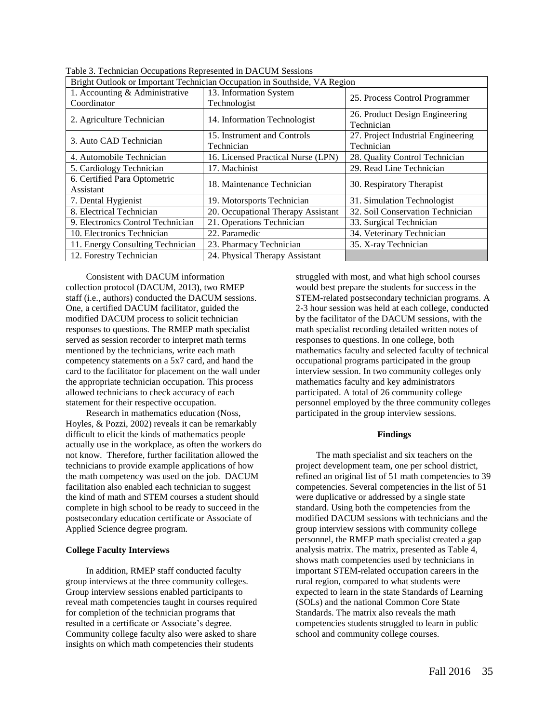| Bright Outlook or Important Technician Occupation in Southside, VA Region |                                    |                                              |  |  |  |
|---------------------------------------------------------------------------|------------------------------------|----------------------------------------------|--|--|--|
| 1. Accounting & Administrative<br>Coordinator                             | 13. Information System             | 25. Process Control Programmer               |  |  |  |
|                                                                           | Technologist                       |                                              |  |  |  |
| 2. Agriculture Technician                                                 | 14. Information Technologist       | 26. Product Design Engineering<br>Technician |  |  |  |
|                                                                           | 15. Instrument and Controls        | 27. Project Industrial Engineering           |  |  |  |
| 3. Auto CAD Technician                                                    | Technician                         | Technician                                   |  |  |  |
| 4. Automobile Technician                                                  | 16. Licensed Practical Nurse (LPN) | 28. Quality Control Technician               |  |  |  |
| 5. Cardiology Technician                                                  | 17. Machinist                      | 29. Read Line Technician                     |  |  |  |
| 6. Certified Para Optometric                                              | 18. Maintenance Technician         | 30. Respiratory Therapist                    |  |  |  |
| Assistant                                                                 |                                    |                                              |  |  |  |
| 7. Dental Hygienist                                                       | 19. Motorsports Technician         | 31. Simulation Technologist                  |  |  |  |
| 8. Electrical Technician                                                  | 20. Occupational Therapy Assistant | 32. Soil Conservation Technician             |  |  |  |
| 9. Electronics Control Technician                                         | 21. Operations Technician          | 33. Surgical Technician                      |  |  |  |
| 10. Electronics Technician                                                | 22. Paramedic                      | 34. Veterinary Technician                    |  |  |  |
| 11. Energy Consulting Technician                                          | 23. Pharmacy Technician            | 35. X-ray Technician                         |  |  |  |
| 12. Forestry Technician                                                   | 24. Physical Therapy Assistant     |                                              |  |  |  |

Table 3. Technician Occupations Represented in DACUM Sessions

Consistent with DACUM information collection protocol (DACUM, 2013), two RMEP staff (i.e., authors) conducted the DACUM sessions. One, a certified DACUM facilitator, guided the modified DACUM process to solicit technician responses to questions. The RMEP math specialist served as session recorder to interpret math terms mentioned by the technicians, write each math competency statements on a 5x7 card, and hand the card to the facilitator for placement on the wall under the appropriate technician occupation. This process allowed technicians to check accuracy of each statement for their respective occupation.

Research in mathematics education (Noss, Hoyles, & Pozzi, 2002) reveals it can be remarkably difficult to elicit the kinds of mathematics people actually use in the workplace, as often the workers do not know. Therefore, further facilitation allowed the technicians to provide example applications of how the math competency was used on the job. DACUM facilitation also enabled each technician to suggest the kind of math and STEM courses a student should complete in high school to be ready to succeed in the postsecondary education certificate or Associate of Applied Science degree program.

#### **College Faculty Interviews**

In addition, RMEP staff conducted faculty group interviews at the three community colleges. Group interview sessions enabled participants to reveal math competencies taught in courses required for completion of the technician programs that resulted in a certificate or Associate's degree. Community college faculty also were asked to share insights on which math competencies their students

struggled with most, and what high school courses would best prepare the students for success in the STEM-related postsecondary technician programs. A 2-3 hour session was held at each college, conducted by the facilitator of the DACUM sessions, with the math specialist recording detailed written notes of responses to questions. In one college, both mathematics faculty and selected faculty of technical occupational programs participated in the group interview session. In two community colleges only mathematics faculty and key administrators participated. A total of 26 community college personnel employed by the three community colleges participated in the group interview sessions.

#### **Findings**

The math specialist and six teachers on the project development team, one per school district, refined an original list of 51 math competencies to 39 competencies. Several competencies in the list of 51 were duplicative or addressed by a single state standard. Using both the competencies from the modified DACUM sessions with technicians and the group interview sessions with community college personnel, the RMEP math specialist created a gap analysis matrix. The matrix, presented as Table 4, shows math competencies used by technicians in important STEM-related occupation careers in the rural region, compared to what students were expected to learn in the state Standards of Learning (SOLs) and the national Common Core State Standards. The matrix also reveals the math competencies students struggled to learn in public school and community college courses.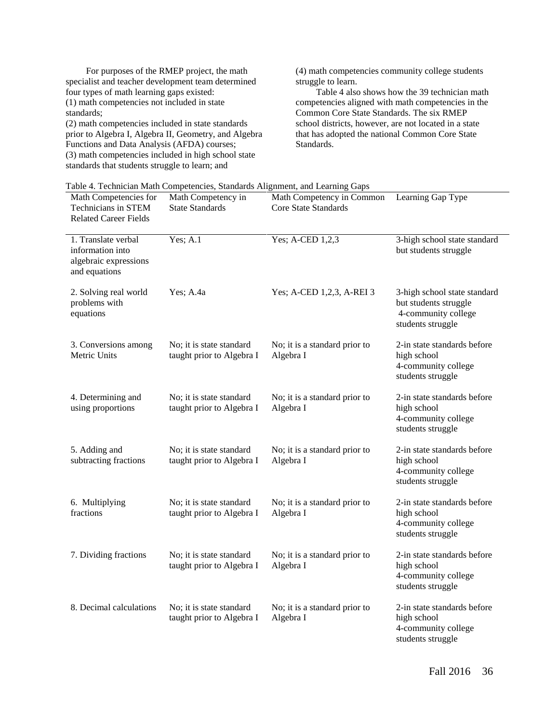For purposes of the RMEP project, the math specialist and teacher development team determined four types of math learning gaps existed: (1) math competencies not included in state standards;

(2) math competencies included in state standards prior to Algebra I, Algebra II, Geometry, and Algebra Functions and Data Analysis (AFDA) courses; (3) math competencies included in high school state standards that students struggle to learn; and

(4) math competencies community college students struggle to learn.

Table 4 also shows how the 39 technician math competencies aligned with math competencies in the Common Core State Standards. The six RMEP school districts, however, are not located in a state that has adopted the national Common Core State Standards.

| Table 4. Technician Math Competencies, Standards Alignment, and Learning Gaps |  |  |  |
|-------------------------------------------------------------------------------|--|--|--|
|                                                                               |  |  |  |

| Math Competencies for<br>Technicians in STEM<br><b>Related Career Fields</b>      | Math Competency in<br><b>State Standards</b>          | Math Competency in Common<br><b>Core State Standards</b> | Learning Gap Type                                                                                 |
|-----------------------------------------------------------------------------------|-------------------------------------------------------|----------------------------------------------------------|---------------------------------------------------------------------------------------------------|
| 1. Translate verbal<br>information into<br>algebraic expressions<br>and equations | Yes; A.1                                              | Yes; A-CED 1,2,3                                         | 3-high school state standard<br>but students struggle                                             |
| 2. Solving real world<br>problems with<br>equations                               | Yes; A.4a                                             | Yes; A-CED 1,2,3, A-REI 3                                | 3-high school state standard<br>but students struggle<br>4-community college<br>students struggle |
| 3. Conversions among<br>Metric Units                                              | No; it is state standard<br>taught prior to Algebra I | No; it is a standard prior to<br>Algebra I               | 2-in state standards before<br>high school<br>4-community college<br>students struggle            |
| 4. Determining and<br>using proportions                                           | No; it is state standard<br>taught prior to Algebra I | No; it is a standard prior to<br>Algebra I               | 2-in state standards before<br>high school<br>4-community college<br>students struggle            |
| 5. Adding and<br>subtracting fractions                                            | No; it is state standard<br>taught prior to Algebra I | No; it is a standard prior to<br>Algebra I               | 2-in state standards before<br>high school<br>4-community college<br>students struggle            |
| 6. Multiplying<br>fractions                                                       | No; it is state standard<br>taught prior to Algebra I | No; it is a standard prior to<br>Algebra I               | 2-in state standards before<br>high school<br>4-community college<br>students struggle            |
| 7. Dividing fractions                                                             | No; it is state standard<br>taught prior to Algebra I | No; it is a standard prior to<br>Algebra I               | 2-in state standards before<br>high school<br>4-community college<br>students struggle            |
| 8. Decimal calculations                                                           | No; it is state standard<br>taught prior to Algebra I | No; it is a standard prior to<br>Algebra I               | 2-in state standards before<br>high school<br>4-community college<br>students struggle            |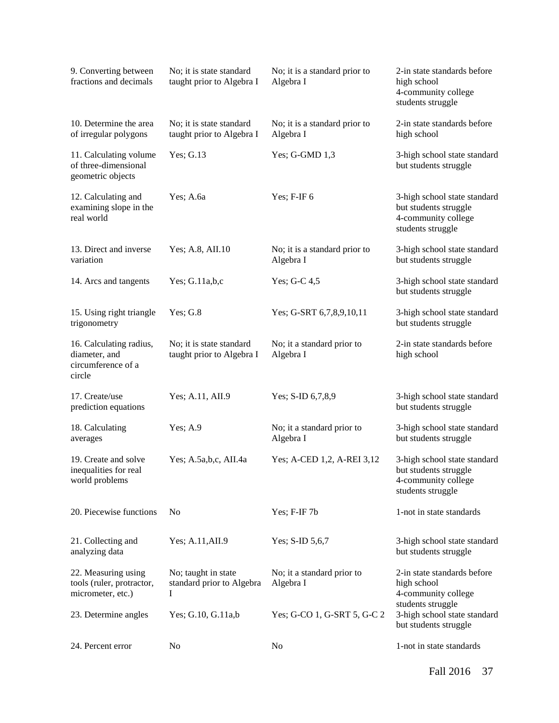| 9. Converting between<br>fractions and decimals                          | No; it is state standard<br>taught prior to Algebra I | No; it is a standard prior to<br>Algebra I | 2-in state standards before<br>high school<br>4-community college<br>students struggle            |
|--------------------------------------------------------------------------|-------------------------------------------------------|--------------------------------------------|---------------------------------------------------------------------------------------------------|
| 10. Determine the area<br>of irregular polygons                          | No; it is state standard<br>taught prior to Algebra I | No; it is a standard prior to<br>Algebra I | 2-in state standards before<br>high school                                                        |
| 11. Calculating volume<br>of three-dimensional<br>geometric objects      | Yes; G.13                                             | Yes; $G$ -GMD $1,3$                        | 3-high school state standard<br>but students struggle                                             |
| 12. Calculating and<br>examining slope in the<br>real world              | Yes; A.6a                                             | Yes; F-IF 6                                | 3-high school state standard<br>but students struggle<br>4-community college<br>students struggle |
| 13. Direct and inverse<br>variation                                      | Yes; A.8, AII.10                                      | No; it is a standard prior to<br>Algebra I | 3-high school state standard<br>but students struggle                                             |
| 14. Arcs and tangents                                                    | Yes; $G.11a,b,c$                                      | Yes; G-C 4,5                               | 3-high school state standard<br>but students struggle                                             |
| 15. Using right triangle<br>trigonometry                                 | Yes; G.8                                              | Yes; G-SRT 6,7,8,9,10,11                   | 3-high school state standard<br>but students struggle                                             |
| 16. Calculating radius,<br>diameter, and<br>circumference of a<br>circle | No; it is state standard<br>taught prior to Algebra I | No; it a standard prior to<br>Algebra I    | 2-in state standards before<br>high school                                                        |
| 17. Create/use<br>prediction equations                                   | Yes; A.11, AII.9                                      | Yes; S-ID 6,7,8,9                          | 3-high school state standard<br>but students struggle                                             |
| 18. Calculating<br>averages                                              | Yes; A.9                                              | No; it a standard prior to<br>Algebra I    | 3-high school state standard<br>but students struggle                                             |
| 19. Create and solve<br>inequalities for real<br>world problems          | Yes; A.5a,b,c, AII.4a                                 | Yes; A-CED 1,2, A-REI 3,12                 | 3-high school state standard<br>but students struggle<br>4-community college<br>students struggle |
| 20. Piecewise functions                                                  | No                                                    | Yes; F-IF 7b                               | 1-not in state standards                                                                          |
| 21. Collecting and<br>analyzing data                                     | Yes; A.11, AII.9                                      | Yes; S-ID 5,6,7                            | 3-high school state standard<br>but students struggle                                             |
| 22. Measuring using<br>tools (ruler, protractor,<br>micrometer, etc.)    | No; taught in state<br>standard prior to Algebra<br>I | No; it a standard prior to<br>Algebra I    | 2-in state standards before<br>high school<br>4-community college<br>students struggle            |
| 23. Determine angles                                                     | Yes; G.10, G.11a,b                                    | Yes; G-CO 1, G-SRT 5, G-C 2                | 3-high school state standard<br>but students struggle                                             |
| 24. Percent error                                                        | No                                                    | N <sub>0</sub>                             | 1-not in state standards                                                                          |

Fall 2016 37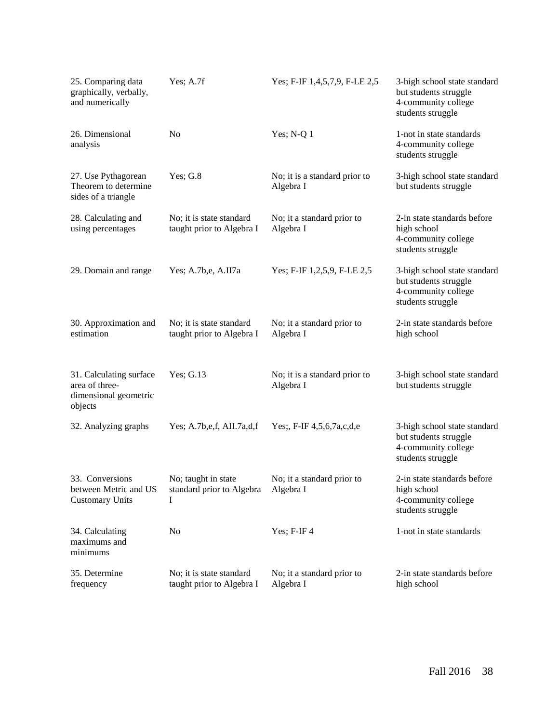| 25. Comparing data<br>graphically, verbally,<br>and numerically               | Yes; $A.7f$                                           | Yes; F-IF 1,4,5,7,9, F-LE 2,5              | 3-high school state standard<br>but students struggle<br>4-community college<br>students struggle |
|-------------------------------------------------------------------------------|-------------------------------------------------------|--------------------------------------------|---------------------------------------------------------------------------------------------------|
| 26. Dimensional<br>analysis                                                   | N <sub>o</sub>                                        | Yes; $N-Q$ 1                               | 1-not in state standards<br>4-community college<br>students struggle                              |
| 27. Use Pythagorean<br>Theorem to determine<br>sides of a triangle            | Yes; $G.8$                                            | No; it is a standard prior to<br>Algebra I | 3-high school state standard<br>but students struggle                                             |
| 28. Calculating and<br>using percentages                                      | No; it is state standard<br>taught prior to Algebra I | No; it a standard prior to<br>Algebra I    | 2-in state standards before<br>high school<br>4-community college<br>students struggle            |
| 29. Domain and range                                                          | Yes; A.7b, e, A.II7a                                  | Yes; F-IF 1,2,5,9, F-LE 2,5                | 3-high school state standard<br>but students struggle<br>4-community college<br>students struggle |
| 30. Approximation and<br>estimation                                           | No; it is state standard<br>taught prior to Algebra I | No; it a standard prior to<br>Algebra I    | 2-in state standards before<br>high school                                                        |
| 31. Calculating surface<br>area of three-<br>dimensional geometric<br>objects | Yes; G.13                                             | No; it is a standard prior to<br>Algebra I | 3-high school state standard<br>but students struggle                                             |
| 32. Analyzing graphs                                                          | Yes; A.7b,e,f, AII.7a,d,f                             | Yes;, F-IF 4,5,6,7a,c,d,e                  | 3-high school state standard<br>but students struggle<br>4-community college<br>students struggle |
| 33. Conversions<br>between Metric and US<br><b>Customary Units</b>            | No; taught in state<br>standard prior to Algebra<br>I | No; it a standard prior to<br>Algebra I    | 2-in state standards before<br>high school<br>4-community college<br>students struggle            |
| 34. Calculating<br>maximums and<br>minimums                                   | N <sub>o</sub>                                        | Yes; F-IF4                                 | 1-not in state standards                                                                          |
| 35. Determine<br>frequency                                                    | No; it is state standard<br>taught prior to Algebra I | No; it a standard prior to<br>Algebra I    | 2-in state standards before<br>high school                                                        |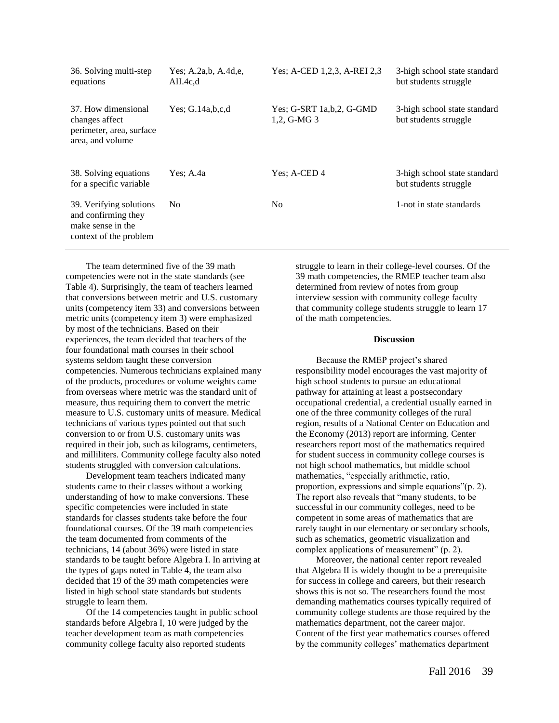| 36. Solving multi-step<br>equations                                                           | Yes: A.2a,b, A.4d,e,<br>AII.4c.d | Yes; A-CED 1,2,3, A-REI 2,3                  | 3-high school state standard<br>but students struggle |
|-----------------------------------------------------------------------------------------------|----------------------------------|----------------------------------------------|-------------------------------------------------------|
| 37. How dimensional<br>changes affect<br>perimeter, area, surface<br>area, and volume         | Yes: $G.14a,b,c,d$               | Yes; G-SRT $1a,b,2$ , G-GMD<br>$1,2, G-MG$ 3 | 3-high school state standard<br>but students struggle |
| 38. Solving equations<br>for a specific variable                                              | Yes: A.4a                        | Yes: A-CED 4                                 | 3-high school state standard<br>but students struggle |
| 39. Verifying solutions<br>and confirming they<br>make sense in the<br>context of the problem | N <sub>0</sub>                   | N <sub>0</sub>                               | 1-not in state standards                              |

The team determined five of the 39 math competencies were not in the state standards (see Table 4). Surprisingly, the team of teachers learned that conversions between metric and U.S. customary units (competency item 33) and conversions between metric units (competency item 3) were emphasized by most of the technicians. Based on their experiences, the team decided that teachers of the four foundational math courses in their school systems seldom taught these conversion competencies. Numerous technicians explained many of the products, procedures or volume weights came from overseas where metric was the standard unit of measure, thus requiring them to convert the metric measure to U.S. customary units of measure. Medical technicians of various types pointed out that such conversion to or from U.S. customary units was required in their job, such as kilograms, centimeters, and milliliters. Community college faculty also noted students struggled with conversion calculations.

Development team teachers indicated many students came to their classes without a working understanding of how to make conversions. These specific competencies were included in state standards for classes students take before the four foundational courses. Of the 39 math competencies the team documented from comments of the technicians, 14 (about 36%) were listed in state standards to be taught before Algebra I. In arriving at the types of gaps noted in Table 4, the team also decided that 19 of the 39 math competencies were listed in high school state standards but students struggle to learn them.

Of the 14 competencies taught in public school standards before Algebra I, 10 were judged by the teacher development team as math competencies community college faculty also reported students

struggle to learn in their college-level courses. Of the 39 math competencies, the RMEP teacher team also determined from review of notes from group interview session with community college faculty that community college students struggle to learn 17 of the math competencies.

#### **Discussion**

Because the RMEP project's shared responsibility model encourages the vast majority of high school students to pursue an educational pathway for attaining at least a postsecondary occupational credential, a credential usually earned in one of the three community colleges of the rural region, results of a National Center on Education and the Economy (2013) report are informing. Center researchers report most of the mathematics required for student success in community college courses is not high school mathematics, but middle school mathematics, "especially arithmetic, ratio, proportion, expressions and simple equations"(p. 2). The report also reveals that "many students, to be successful in our community colleges, need to be competent in some areas of mathematics that are rarely taught in our elementary or secondary schools, such as schematics, geometric visualization and complex applications of measurement" (p. 2).

Moreover, the national center report revealed that Algebra II is widely thought to be a prerequisite for success in college and careers, but their research shows this is not so. The researchers found the most demanding mathematics courses typically required of community college students are those required by the mathematics department, not the career major. Content of the first year mathematics courses offered by the community colleges' mathematics department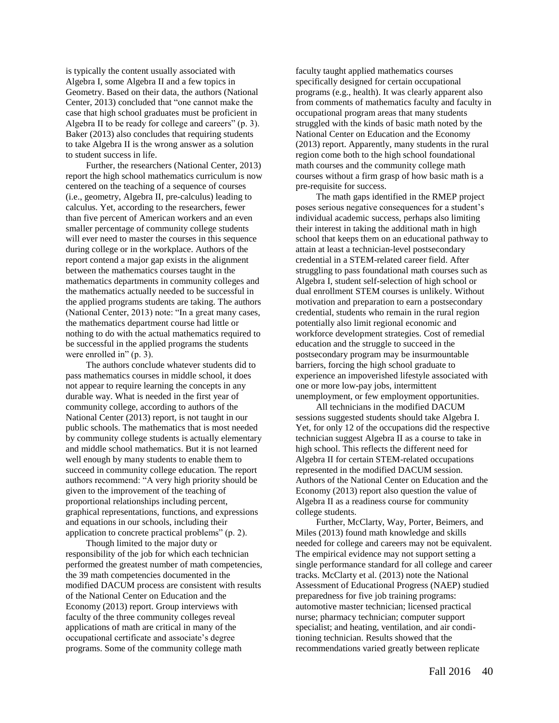is typically the content usually associated with Algebra I, some Algebra II and a few topics in Geometry. Based on their data, the authors (National Center, 2013) concluded that "one cannot make the case that high school graduates must be proficient in Algebra II to be ready for college and careers" (p. 3). Baker (2013) also concludes that requiring students to take Algebra II is the wrong answer as a solution to student success in life.

Further, the researchers (National Center, 2013) report the high school mathematics curriculum is now centered on the teaching of a sequence of courses (i.e., geometry, Algebra II, pre-calculus) leading to calculus. Yet, according to the researchers, fewer than five percent of American workers and an even smaller percentage of community college students will ever need to master the courses in this sequence during college or in the workplace. Authors of the report contend a major gap exists in the alignment between the mathematics courses taught in the mathematics departments in community colleges and the mathematics actually needed to be successful in the applied programs students are taking. The authors (National Center, 2013) note: "In a great many cases, the mathematics department course had little or nothing to do with the actual mathematics required to be successful in the applied programs the students were enrolled in" (p. 3).

The authors conclude whatever students did to pass mathematics courses in middle school, it does not appear to require learning the concepts in any durable way. What is needed in the first year of community college, according to authors of the National Center (2013) report, is not taught in our public schools. The mathematics that is most needed by community college students is actually elementary and middle school mathematics. But it is not learned well enough by many students to enable them to succeed in community college education. The report authors recommend: "A very high priority should be given to the improvement of the teaching of proportional relationships including percent, graphical representations, functions, and expressions and equations in our schools, including their application to concrete practical problems" (p. 2).

Though limited to the major duty or responsibility of the job for which each technician performed the greatest number of math competencies, the 39 math competencies documented in the modified DACUM process are consistent with results of the National Center on Education and the Economy (2013) report. Group interviews with faculty of the three community colleges reveal applications of math are critical in many of the occupational certificate and associate's degree programs. Some of the community college math

faculty taught applied mathematics courses specifically designed for certain occupational programs (e.g., health). It was clearly apparent also from comments of mathematics faculty and faculty in occupational program areas that many students struggled with the kinds of basic math noted by the National Center on Education and the Economy (2013) report. Apparently, many students in the rural region come both to the high school foundational math courses and the community college math courses without a firm grasp of how basic math is a pre-requisite for success.

The math gaps identified in the RMEP project poses serious negative consequences for a student's individual academic success, perhaps also limiting their interest in taking the additional math in high school that keeps them on an educational pathway to attain at least a technician-level postsecondary credential in a STEM-related career field. After struggling to pass foundational math courses such as Algebra I, student self-selection of high school or dual enrollment STEM courses is unlikely. Without motivation and preparation to earn a postsecondary credential, students who remain in the rural region potentially also limit regional economic and workforce development strategies. Cost of remedial education and the struggle to succeed in the postsecondary program may be insurmountable barriers, forcing the high school graduate to experience an impoverished lifestyle associated with one or more low-pay jobs, intermittent unemployment, or few employment opportunities.

All technicians in the modified DACUM sessions suggested students should take Algebra I. Yet, for only 12 of the occupations did the respective technician suggest Algebra II as a course to take in high school. This reflects the different need for Algebra II for certain STEM-related occupations represented in the modified DACUM session. Authors of the National Center on Education and the Economy (2013) report also question the value of Algebra II as a readiness course for community college students.

Further, McClarty, Way, Porter, Beimers, and Miles (2013) found math knowledge and skills needed for college and careers may not be equivalent. The empirical evidence may not support setting a single performance standard for all college and career tracks. McClarty et al. (2013) note the National Assessment of Educational Progress (NAEP) studied preparedness for five job training programs: automotive master technician; licensed practical nurse; pharmacy technician; computer support specialist; and heating, ventilation, and air conditioning technician. Results showed that the recommendations varied greatly between replicate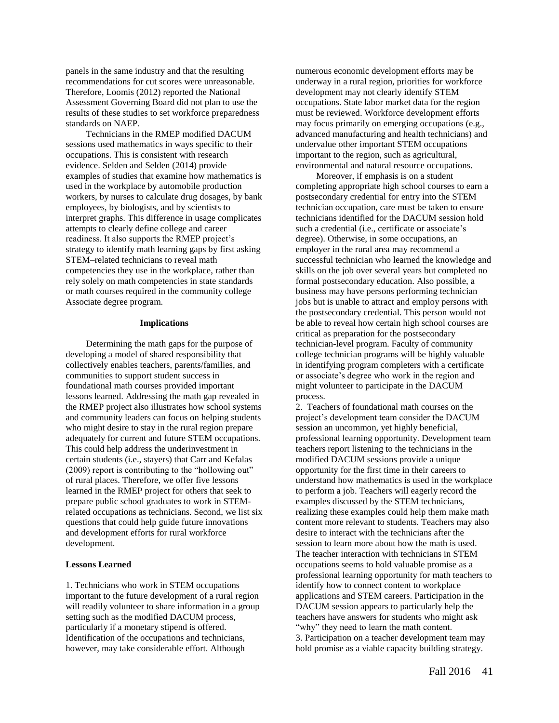panels in the same industry and that the resulting recommendations for cut scores were unreasonable. Therefore, Loomis (2012) reported the National Assessment Governing Board did not plan to use the results of these studies to set workforce preparedness standards on NAEP.

Technicians in the RMEP modified DACUM sessions used mathematics in ways specific to their occupations. This is consistent with research evidence. Selden and Selden (2014) provide examples of studies that examine how mathematics is used in the workplace by automobile production workers, by nurses to calculate drug dosages, by bank employees, by biologists, and by scientists to interpret graphs. This difference in usage complicates attempts to clearly define college and career readiness. It also supports the RMEP project's strategy to identify math learning gaps by first asking STEM–related technicians to reveal math competencies they use in the workplace, rather than rely solely on math competencies in state standards or math courses required in the community college Associate degree program.

#### **Implications**

Determining the math gaps for the purpose of developing a model of shared responsibility that collectively enables teachers, parents/families, and communities to support student success in foundational math courses provided important lessons learned. Addressing the math gap revealed in the RMEP project also illustrates how school systems and community leaders can focus on helping students who might desire to stay in the rural region prepare adequately for current and future STEM occupations. This could help address the underinvestment in certain students (i.e., stayers) that Carr and Kefalas (2009) report is contributing to the "hollowing out" of rural places. Therefore, we offer five lessons learned in the RMEP project for others that seek to prepare public school graduates to work in STEMrelated occupations as technicians. Second, we list six questions that could help guide future innovations and development efforts for rural workforce development.

#### **Lessons Learned**

1. Technicians who work in STEM occupations important to the future development of a rural region will readily volunteer to share information in a group setting such as the modified DACUM process, particularly if a monetary stipend is offered. Identification of the occupations and technicians, however, may take considerable effort. Although

numerous economic development efforts may be underway in a rural region, priorities for workforce development may not clearly identify STEM occupations. State labor market data for the region must be reviewed. Workforce development efforts may focus primarily on emerging occupations (e.g., advanced manufacturing and health technicians) and undervalue other important STEM occupations important to the region, such as agricultural, environmental and natural resource occupations.

Moreover, if emphasis is on a student completing appropriate high school courses to earn a postsecondary credential for entry into the STEM technician occupation, care must be taken to ensure technicians identified for the DACUM session hold such a credential (i.e., certificate or associate's degree). Otherwise, in some occupations, an employer in the rural area may recommend a successful technician who learned the knowledge and skills on the job over several years but completed no formal postsecondary education. Also possible, a business may have persons performing technician jobs but is unable to attract and employ persons with the postsecondary credential. This person would not be able to reveal how certain high school courses are critical as preparation for the postsecondary technician-level program. Faculty of community college technician programs will be highly valuable in identifying program completers with a certificate or associate's degree who work in the region and might volunteer to participate in the DACUM process.

2. Teachers of foundational math courses on the project's development team consider the DACUM session an uncommon, yet highly beneficial, professional learning opportunity. Development team teachers report listening to the technicians in the modified DACUM sessions provide a unique opportunity for the first time in their careers to understand how mathematics is used in the workplace to perform a job. Teachers will eagerly record the examples discussed by the STEM technicians, realizing these examples could help them make math content more relevant to students. Teachers may also desire to interact with the technicians after the session to learn more about how the math is used. The teacher interaction with technicians in STEM occupations seems to hold valuable promise as a professional learning opportunity for math teachers to identify how to connect content to workplace applications and STEM careers. Participation in the DACUM session appears to particularly help the teachers have answers for students who might ask "why" they need to learn the math content. 3. Participation on a teacher development team may hold promise as a viable capacity building strategy.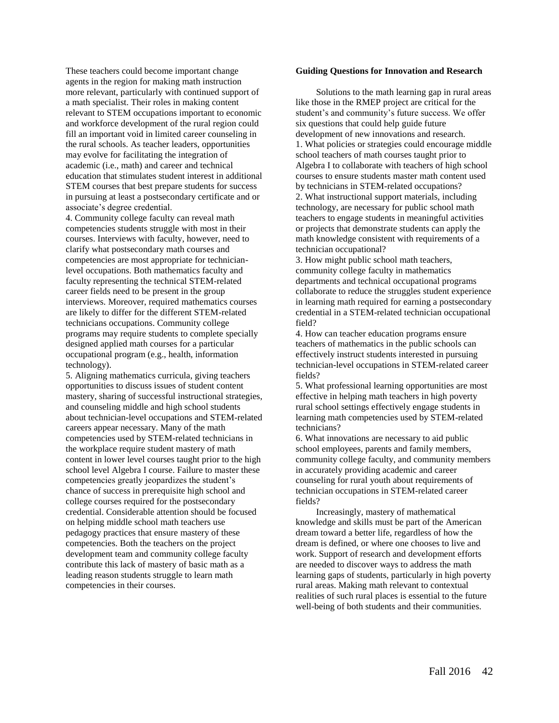These teachers could become important change agents in the region for making math instruction more relevant, particularly with continued support of a math specialist. Their roles in making content relevant to STEM occupations important to economic and workforce development of the rural region could fill an important void in limited career counseling in the rural schools. As teacher leaders, opportunities may evolve for facilitating the integration of academic (i.e., math) and career and technical education that stimulates student interest in additional STEM courses that best prepare students for success in pursuing at least a postsecondary certificate and or associate's degree credential.

4. Community college faculty can reveal math competencies students struggle with most in their courses. Interviews with faculty, however, need to clarify what postsecondary math courses and competencies are most appropriate for technicianlevel occupations. Both mathematics faculty and faculty representing the technical STEM-related career fields need to be present in the group interviews. Moreover, required mathematics courses are likely to differ for the different STEM-related technicians occupations. Community college programs may require students to complete specially designed applied math courses for a particular occupational program (e.g., health, information technology).

5. Aligning mathematics curricula, giving teachers opportunities to discuss issues of student content mastery, sharing of successful instructional strategies, and counseling middle and high school students about technician-level occupations and STEM-related careers appear necessary. Many of the math competencies used by STEM-related technicians in the workplace require student mastery of math content in lower level courses taught prior to the high school level Algebra I course. Failure to master these competencies greatly jeopardizes the student's chance of success in prerequisite high school and college courses required for the postsecondary credential. Considerable attention should be focused on helping middle school math teachers use pedagogy practices that ensure mastery of these competencies. Both the teachers on the project development team and community college faculty contribute this lack of mastery of basic math as a leading reason students struggle to learn math competencies in their courses.

#### **Guiding Questions for Innovation and Research**

Solutions to the math learning gap in rural areas like those in the RMEP project are critical for the student's and community's future success. We offer six questions that could help guide future development of new innovations and research. 1. What policies or strategies could encourage middle school teachers of math courses taught prior to Algebra I to collaborate with teachers of high school courses to ensure students master math content used by technicians in STEM-related occupations? 2. What instructional support materials, including technology, are necessary for public school math teachers to engage students in meaningful activities or projects that demonstrate students can apply the math knowledge consistent with requirements of a technician occupational?

3. How might public school math teachers, community college faculty in mathematics departments and technical occupational programs collaborate to reduce the struggles student experience in learning math required for earning a postsecondary credential in a STEM-related technician occupational field?

4. How can teacher education programs ensure teachers of mathematics in the public schools can effectively instruct students interested in pursuing technician-level occupations in STEM-related career fields?

5. What professional learning opportunities are most effective in helping math teachers in high poverty rural school settings effectively engage students in learning math competencies used by STEM-related technicians?

6. What innovations are necessary to aid public school employees, parents and family members, community college faculty, and community members in accurately providing academic and career counseling for rural youth about requirements of technician occupations in STEM-related career fields?

Increasingly, mastery of mathematical knowledge and skills must be part of the American dream toward a better life, regardless of how the dream is defined, or where one chooses to live and work. Support of research and development efforts are needed to discover ways to address the math learning gaps of students, particularly in high poverty rural areas. Making math relevant to contextual realities of such rural places is essential to the future well-being of both students and their communities.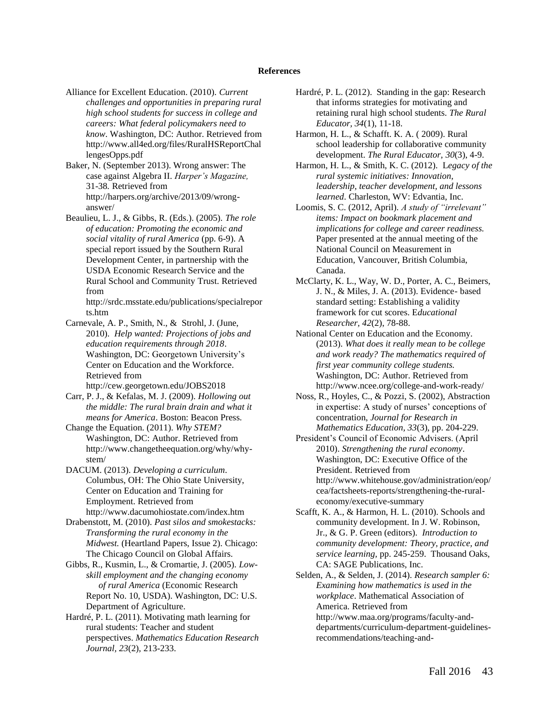#### **References**

- Alliance for Excellent Education. (2010). *Current challenges and opportunities in preparing rural high school students for success in college and careers: What federal policymakers need to know*. Washington, DC: Author. Retrieved from http://www.all4ed.org/files/RuralHSReportChal lengesOpps.pdf
- Baker, N. (September 2013). Wrong answer: The case against Algebra II. *Harper's Magazine,*  31-38*.* Retrieved from http://harpers.org/archive/2013/09/wronganswer/
- Beaulieu, L. J., & Gibbs, R. (Eds.). (2005). *The role of education: Promoting the economic and social vitality of rural America* (pp. 6-9). A special report issued by the Southern Rural Development Center, in partnership with the USDA Economic Research Service and the Rural School and Community Trust. Retrieved from

http://srdc.msstate.edu/publications/specialrepor ts.htm

- Carnevale, A. P., Smith, N., & Strohl, J. (June, 2010). *Help wanted: Projections of jobs and education requirements through 2018*. Washington, DC: Georgetown University's Center on Education and the Workforce. Retrieved from http://cew.georgetown.edu/JOBS2018
- Carr, P. J., & Kefalas, M. J. (2009). *Hollowing out the middle: The rural brain drain and what it means for America*. Boston: Beacon Press.
- Change the Equation. (2011). *Why STEM?* Washington, DC: Author. Retrieved from http://www.changetheequation.org/why/whystem/
- DACUM. (2013). *Developing a curriculum*. Columbus, OH: The Ohio State University, Center on Education and Training for Employment. Retrieved from http://www.dacumohiostate.com/index.htm
- Drabenstott, M. (2010). *Past silos and smokestacks: Transforming the rural economy in the Midwest.* (Heartland Papers, Issue 2). Chicago: The Chicago Council on Global Affairs.
- Gibbs, R., Kusmin, L., & Cromartie, J. (2005). *Lowskill employment and the changing economy of rural America* (Economic Research Report No. 10, USDA). Washington, DC: U.S. Department of Agriculture.
- Hardré, P. L. (2011). Motivating math learning for rural students: Teacher and student perspectives. *Mathematics Education Research Journal, 23*(2)*,* 213-233.
- Hardré, P. L. (2012). Standing in the gap: Research that informs strategies for motivating and retaining rural high school students. *The Rural Educator, 34*(1), 11-18.
- Harmon, H. L., & Schafft. K. A. ( 2009). Rural school leadership for collaborative community development. *The Rural Educator, 30*(3), 4-9.
- Harmon, H. L., & Smith, K. C. (2012). L*egacy of the rural systemic initiatives: Innovation, leadership, teacher development, and lessons learned*. Charleston, WV: Edvantia, Inc.
- Loomis, S. C. (2012, April). *A study of "irrelevant" items: Impact on bookmark placement and implications for college and career readiness.*  Paper presented at the annual meeting of the National Council on Measurement in Education, Vancouver, British Columbia, Canada.
- McClarty, K. L., Way, W. D., Porter, A. C., Beimers, J. N., & Miles, J. A. (2013). Evidence- based standard setting: Establishing a validity framework for cut scores. E*ducational Researcher, 42*(2), 78-88.
- National Center on Education and the Economy. (2013). *What does it really mean to be college and work ready? The mathematics required of first year community college students.*  Washington, DC: Author. Retrieved from http://www.ncee.org/college-and-work-ready/
- Noss, R., Hoyles, C., & Pozzi, S. (2002), Abstraction in expertise: A study of nurses' conceptions of concentration, *Journal for Research in Mathematics Education, 33*(3), pp. 204-229.
- President's Council of Economic Advisers. (April 2010). *Strengthening the rural economy*. Washington, DC: Executive Office of the President. Retrieved from http://www.whitehouse.gov/administration/eop/ cea/factsheets-reports/strengthening-the-ruraleconomy/executive-summary
- Scafft, K. A., & Harmon, H. L. (2010). Schools and community development. In J. W. Robinson, Jr., & G. P. Green (editors). *Introduction to community development: Theory, practice, and service learning,* pp. 245-259. Thousand Oaks, CA: SAGE Publications, Inc.
- Selden, A., & Selden, J. (2014). *Research sampler 6: Examining how mathematics is used in the workplace*. Mathematical Association of America. Retrieved from http://www.maa.org/programs/faculty-anddepartments/curriculum-department-guidelinesrecommendations/teaching-and-